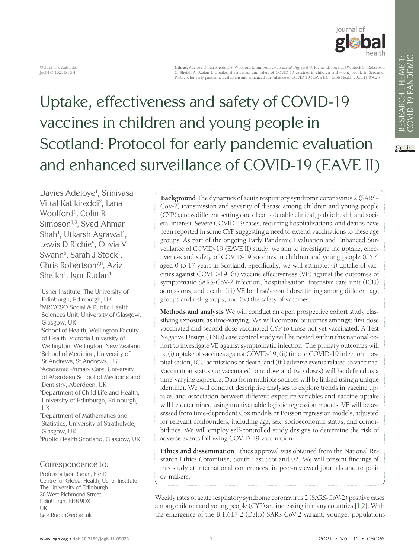iournal of

 $\boxed{6}$  0

© 2021 The Author(s) JoGH © 2021 ISoGH

**Cite as:** Adeloye D, Karikireddi SV, Woolford L, Simpson CR, Shah SA, Agrawal U, Richie LD, Swann OV, Stock SJ, Robertson C, Sheikh A, Rudan I. Uptake, effectiveness and safety of COVID-19 vaccines in children and young people in Scotland:<br>Protocol for early pandemic evaluation and enhanced surveillance of COVID-19 (EAVE II). J Glob Health 20

# Uptake, effectiveness and safety of COVID-19 vaccines in children and young people in Scotland: Protocol for early pandemic evaluation and enhanced surveillance of COVID-19 (EAVE II)

Davies Adeloye<sup>1</sup>, Srinivasa Vittal Katikireddi<sup>2</sup>, Lana Woolford<sup>1</sup>, Colin R Simpson<sup>1,3</sup>, Syed Ahmar Shah<sup>1</sup>, Utkarsh Agrawal<sup>4</sup>, Lewis D Richie<sup>5</sup>, Olivia V Swann<sup>6</sup>, Sarah J Stock<sup>1</sup>, Chris Robertson<sup>7,8</sup>, Aziz  $Sheikh^1$ , Igor Rudan $^1$ 

1 Usher Institute, The University of Edinburgh, Edinburgh, UK 2 MRC/CSO Social & Public Health Sciences Unit, University of Glasgow, Glasgow, UK 3 School of Health, Wellington Faculty of Health, Victoria University of Wellington, Wellington, New Zealand 4 School of Medicine, University of St Andrews, St Andrews, UK 5 Academic Primary Care, University of Aberdeen School of Medicine and Dentistry, Aberdeen, UK 6 Department of Child Life and Health, University of Edinburgh, Edinburgh, UK 7 Department of Mathematics and Statistics, University of Strathclyde, Glasgow, UK

8 Public Health Scotland, Glasgow, UK

#### Correspondence to:

Professor Igor Rudan, FRSE Centre for Global Health, Usher Institute The University of Edinburgh 30 West Richmond Street Edinburgh, EH8 9DX UK Igor.Rudan@ed.ac.uk

**Background** The dynamics of acute respiratory syndrome coronavirus 2 (SARS-CoV-2) transmission and severity of disease among children and young people (CYP) across different settings are of considerable clinical, public health and societal interest. Severe COVID-19 cases, requiring hospitalisations, and deaths have been reported in some CYP suggesting a need to extend vaccinations to these age groups. As part of the ongoing Early Pandemic Evaluation and Enhanced Surveillance of COVID-19 (EAVE II) study, we aim to investigate the uptake, effectiveness and safety of COVID-19 vaccines in children and young people (CYP) aged 0 to 17 years in Scotland. Specifically, we will estimate: (i) uptake of vaccines against COVID-19, (ii) vaccine effectiveness (VE) against the outcomes of symptomatic SARS-CoV-2 infection, hospitalisation, intensive care unit (ICU) admissions, and death; (iii) VE for first/second dose timing among different age groups and risk groups; and (iv) the safety of vaccines.

**Methods and analysis** We will conduct an open prospective cohort study classifying exposure as time-varying. We will compare outcomes amongst first dose vaccinated and second dose vaccinated CYP to those not yet vaccinated. A Test Negative Design (TND) case control study will be nested within this national cohort to investigate VE against symptomatic infection. The primary outcomes will be (i) uptake of vaccines against COVID-19, (ii) time to COVID-19 infection, hospitalisation, ICU admissions or death, and (iii) adverse events related to vaccines. Vaccination status (unvaccinated, one dose and two doses) will be defined as a time-varying exposure. Data from multiple sources will be linked using a unique identifier. We will conduct descriptive analyses to explore trends in vaccine uptake, and association between different exposure variables and vaccine uptake will be determined using multivariable logistic regression models. VE will be assessed from time-dependent Cox models or Poisson regression models, adjusted for relevant confounders, including age, sex, socioeconomic status, and comorbidities. We will employ self-controlled study designs to determine the risk of adverse events following COVID-19 vaccination.

**Ethics and dissemination** Ethics approval was obtained from the National Research Ethics Committee, South East Scotland 02. We will present findings of this study at international conferences, in peer-reviewed journals and to policy-makers.

Weekly rates of acute respiratory syndrome coronavirus 2 (SARS-CoV-2) positive cases among children and young people (CYP) are increasing in many countries [\[1](#page-6-0),[2\]](#page-6-1). With the emergence of the B.1.617.2 (Delta) SARS-CoV-2 variant, younger populations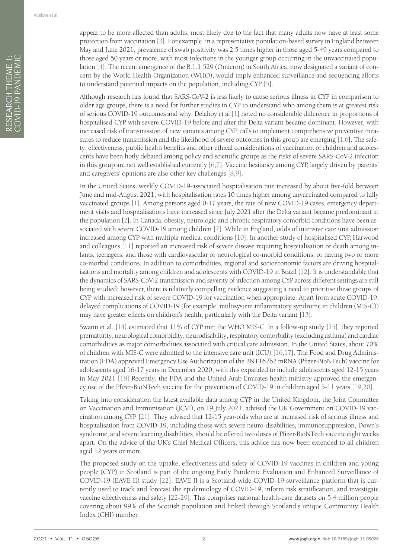Although research has found that SARS-CoV-2 is less likely to cause serious illness in CYP in comparison to older age groups, there is a need for further studies in CYP to understand who among them is at greatest risk of serious COVID-19 outcomes and why. Delahoy et al [\[1\]](#page-6-0) noted no considerable difference in proportions of hospitalised CYP with severe COVID-19 before and after the Delta variant became dominant. However, with increased risk of transmission of new variants among CYP, calls to implement comprehensive preventive measures to reduce transmission and the likelihood of severe outcomes in this group are emerging [[1](#page-6-0)[,6](#page-6-5)]. The safety, effectiveness, public health benefits and other ethical considerations of vaccination of children and adolescents have been hotly debated among policy and scientific groups as the risks of severe SARS-CoV-2 infection in this group are not well established currently [\[6](#page-6-5),[7\]](#page-6-6). Vaccine hesitancy among CYP, largely driven by parents' and caregivers' opinions are also other key challenges [\[8](#page-7-0)[,9](#page-7-1)].

In the United States, weekly COVID-19-associated hospitalisation rate increased by about five-fold between June and mid-August 2021, with hospitalisation rates 10 times higher among unvaccinated compared to fully vaccinated groups [\[1](#page-6-0)]. Among persons aged 0-17 years, the rate of new COVID-19 cases, emergency department visits and hospitalisations have increased since July 2021 after the Delta variant became predominant in the population [\[2](#page-6-1)]. In Canada, obesity, neurologic and chronic respiratory comorbid conditions have been associated with severe COVID-19 among children [[7\]](#page-6-6). While in England, odds of intensive care unit admission increased among CYP with multiple medical conditions [[10\]](#page-7-2). In another study of hospitalised CYP, Harwood and colleagues [[11\]](#page-7-3) reported an increased risk of severe disease requiring hospitalisation or death among infants, teenagers, and those with cardiovascular or neurological co-morbid conditions, or having two or more co-morbid conditions. In addition to comorbidities, regional and socioeconomic factors are driving hospitalisations and mortality among children and adolescents with COVID-19 in Brazil [\[12](#page-7-4)]. It is understandable that the dynamics of SARS-CoV-2 transmission and severity of infection among CYP across different settings are still being studied; however, there is relatively compelling evidence suggesting a need to prioritise these groups of CYP with increased risk of severe COVID-19 for vaccination when appropriate. Apart from acute COVID-19, delayed complications of COVID-19 (for example, multisystem inflammatory syndrome in children (MIS-C)) may have greater effects on children's health, particularly with the Delta variant [[13\]](#page-7-5).

Swann et al. [\[14](#page-7-6)] estimated that 11% of CYP met the WHO MIS-C. In a follow-up study [\[15](#page-7-7)], they reported prematurity, neurological comorbidity, neurodisability, respiratory comorbidity (excluding asthma) and cardiac comorbidities as major comorbidities associated with critical care admission. In the United States, about 70% of children with MIS-C were admitted to the intensive care unit (ICU) [[16](#page-7-8)[,17](#page-7-9)]. The Food and Drug Administration (FDA) approved Emergency Use Authorization of the BNT162b2 mRNA (Pfizer-BioNTech) vaccine for adolescents aged 16-17 years in December 2020, with this expanded to include adolescents aged 12-15 years in May 2021 [[18\]](#page-7-10) Recently, the FDA and the United Arab Emirates health ministry approved the emergency use of the Pfizer-BioNTech vaccine for the prevention of COVID-19 in children aged 5-11 years [[19](#page-7-11)[,20](#page-7-12)].

Taking into consideration the latest available data among CYP in the United Kingdom, the Joint Committee on Vaccination and Immunisation (JCVI), on 19 July 2021, advised the UK Government on COVID-19 vaccination among CYP [\[21](#page-7-13)]. They advised that 12-15 year-olds who are at increased risk of serious illness and hospitalisation from COVID-19, including those with severe neuro-disabilities, immunosuppression, Down's syndrome, and severe learning disabilities, should be offered two doses of Pfizer-BioNTech vaccine eight weeks apart. On the advice of the UK's Chief Medical Officers, this advice has now been extended to all children aged 12 years or more.

The proposed study on the uptake, effectiveness and safety of COVID-19 vaccines in children and young people (CYP) in Scotland is part of the ongoing Early Pandemic Evaluation and Enhanced Surveillance of COVID-19 (EAVE II) study [[22](#page-7-14)]. EAVE II is a Scotland-wide COVID-19 surveillance platform that is currently used to track and forecast the epidemiology of COVID-19, inform risk stratification, and investigate vaccine effectiveness and safety [[22](#page-7-14)[-29\]](#page-7-15). This comprises national health-care datasets on 5·4 million people covering about 99% of the Scottish population and linked through Scotland's unique Community Health Index (CHI) number.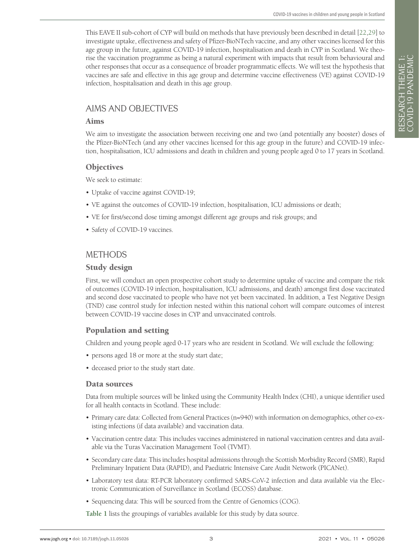This EAVE II sub-cohort of CYP will build on methods that have previously been described in detail [[22](#page-7-14),[29\]](#page-7-15) to investigate uptake, effectiveness and safety of Pfizer-BioNTech vaccine, and any other vaccines licensed for this age group in the future, against COVID-19 infection, hospitalisation and death in CYP in Scotland. We theorise the vaccination programme as being a natural experiment with impacts that result from behavioural and other responses that occur as a consequence of broader programmatic effects. We will test the hypothesis that vaccines are safe and effective in this age group and determine vaccine effectiveness (VE) against COVID-19 infection, hospitalisation and death in this age group.

# AIMS AND OBJECTIVES

# Aims

We aim to investigate the association between receiving one and two (and potentially any booster) doses of the Pfizer-BioNTech (and any other vaccines licensed for this age group in the future) and COVID-19 infection, hospitalisation, ICU admissions and death in children and young people aged 0 to 17 years in Scotland.

# **Objectives**

We seek to estimate:

- Uptake of vaccine against COVID-19;
- VE against the outcomes of COVID-19 infection, hospitalisation, ICU admissions or death;
- VE for first/second dose timing amongst different age groups and risk groups; and
- Safety of COVID-19 vaccines.

# **METHODS**

# Study design

First, we will conduct an open prospective cohort study to determine uptake of vaccine and compare the risk of outcomes (COVID-19 infection, hospitalisation, ICU admissions, and death) amongst first dose vaccinated and second dose vaccinated to people who have not yet been vaccinated. In addition, a Test Negative Design (TND) case control study for infection nested within this national cohort will compare outcomes of interest between COVID-19 vaccine doses in CYP and unvaccinated controls.

# Population and setting

Children and young people aged 0-17 years who are resident in Scotland. We will exclude the following:

- persons aged 18 or more at the study start date;
- deceased prior to the study start date.

# Data sources

Data from multiple sources will be linked using the Community Health Index (CHI), a unique identifier used for all health contacts in Scotland. These include:

- Primary care data: Collected from General Practices (n=940) with information on demographics, other co-existing infections (if data available) and vaccination data.
- Vaccination centre data: This includes vaccines administered in national vaccination centres and data available via the Turas Vaccination Management Tool (TVMT).
- Secondary care data: This includes hospital admissions through the Scottish Morbidity Record (SMR), Rapid Preliminary Inpatient Data (RAPID), and Paediatric Intensive Care Audit Network (PICANet).
- Laboratory test data: RT-PCR laboratory confirmed SARS-CoV-2 infection and data available via the Electronic Communication of Surveillance in Scotland (ECOSS) database.
- Sequencing data: This will be sourced from the Centre of Genomics (COG).

**[Table 1](#page-3-0)** lists the groupings of variables available for this study by data source.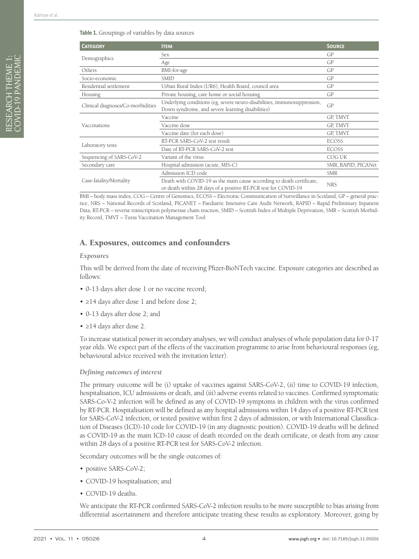<span id="page-3-0"></span>

| <b>CATEGORY</b>                   | <b>ITEM</b>                                                                                                                             | <b>SOURCE</b>       |
|-----------------------------------|-----------------------------------------------------------------------------------------------------------------------------------------|---------------------|
| Demographics                      | Sex                                                                                                                                     | GP                  |
|                                   | Age                                                                                                                                     | GP                  |
| Others                            | BMI-for-age                                                                                                                             | GP                  |
| Socio-economic                    | <b>SMID</b>                                                                                                                             | GP                  |
| Residential settlement            | Urban Rural Index (UR6), Health Board, council area                                                                                     | GP                  |
| Housing                           | Private housing, care home or social housing                                                                                            | GP                  |
| Clinical diagnoses/Co-morbidities | Underlying conditions (eg, severe neuro-disabilities, immunosuppression,<br>Down syndrome, and severe learning disabilities)            | GP                  |
| Vaccinations                      | Vaccine                                                                                                                                 | GP, TMVT            |
|                                   | Vaccine dose                                                                                                                            | GP, TMVT            |
|                                   | Vaccine date (for each dose)                                                                                                            | GP, TMVT            |
| Laboratory tests                  | RT-PCR SARS-CoV-2 test result                                                                                                           | <b>ECOSS</b>        |
|                                   | Date of RT-PCR SARS-CoV-2 test                                                                                                          | <b>ECOSS</b>        |
| Sequencing of SARS-CoV-2          | Variant of the virus                                                                                                                    | COG UK              |
| Secondary care                    | Hospital admission (acute, MIS-C)                                                                                                       | SMR, RAPID, PICANet |
| Case-fatality/Mortality           | Admission ICD code                                                                                                                      | <b>SMR</b>          |
|                                   | Death with COVID-19 as the main cause according to death certificate,<br>or death within 28 days of a positive RT-PCR test for COVID-19 | <b>NRS</b>          |

BMI – body mass index, COG – Centre of Genomics, ECOSS – Electronic Communication of Surveillance in Scotland, GP – general practice, NRS – National Records of Scotland, PICANET – Paediatric Intensive Care Audit Network, RAPID – Rapid Preliminary Inpatient Data, RT-PCR – reverse transcription polymerase chain reaction, SMID – Scottish Index of Multiple Deprivation, SMR – Scottish Morbidity Record, TMVT – Turas Vaccination Management Tool

# A. Exposures, outcomes and confounders

#### *Exposures*

This will be derived from the date of receiving Pfizer-BioNTech vaccine. Exposure categories are described as follows:

- 0-13 days after dose 1 or no vaccine record;
- ≥14 days after dose 1 and before dose 2;
- 0-13 days after dose 2; and
- ≥14 days after dose 2.

To increase statistical power in secondary analyses, we will conduct analyses of whole population data for 0-17 year olds. We expect part of the effects of the vaccination programme to arise from behavioural responses (eg, behavioural advice received with the invitation letter).

#### *Defining outcomes of interest*

The primary outcome will be (i) uptake of vaccines against SARS-CoV-2, (ii) time to COVID-19 infection, hospitalisation, ICU admissions or death, and (iii) adverse events related to vaccines. Confirmed symptomatic SARS-Co-V-2 infection will be defined as any of COVID-19 symptoms in children with the virus confirmed by RT-PCR. Hospitalisation will be defined as any hospital admissions within 14 days of a positive RT-PCR test for SARS-CoV-2 infection, or tested positive within first 2 days of admission, or with International Classification of Diseases (ICD)-10 code for COVID-19 (in any diagnostic position). COVID-19 deaths will be defined as COVID-19 as the main ICD-10 cause of death recorded on the death certificate, or death from any cause within 28 days of a positive RT-PCR test for SARS-CoV-2 infection.

Secondary outcomes will be the single outcomes of:

- positive SARS-CoV-2;
- COVID-19 hospitalisation; and
- COVID-19 deaths.

We anticipate the RT-PCR confirmed SARS-CoV-2 infection results to be more susceptible to bias arising from differential ascertainment and therefore anticipate treating these results as exploratory. Moreover, going by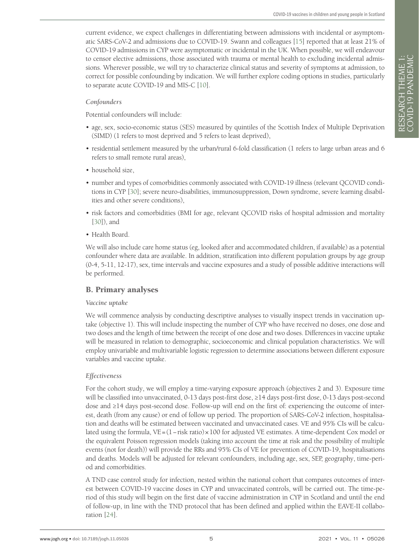current evidence, we expect challenges in differentiating between admissions with incidental or asymptomatic SARS-CoV-2 and admissions due to COVID-19. Swann and colleagues [[15](#page-7-6)] reported that at least 21% of COVID-19 admissions in CYP were asymptomatic or incidental in the UK. When possible, we will endeavour to censor elective admissions, those associated with trauma or mental health to excluding incidental admissions. Wherever possible, we will try to characterize clinical status and severity of symptoms at admission, to correct for possible confounding by indication. We will further explore coding options in studies, particularly to separate acute COVID-19 and MIS-C [\[10](#page-7-2)].

#### *Confounders*

Potential confounders will include:

- age, sex, socio-economic status (SES) measured by quintiles of the Scottish Index of Multiple Deprivation (SIMD) (1 refers to most deprived and 5 refers to least deprived),
- residential settlement measured by the urban/rural 6-fold classification (1 refers to large urban areas and 6 refers to small remote rural areas),
- household size
- number and types of comorbidities commonly associated with COVID-19 illness (relevant QCOVID conditions in CYP [[30\]](#page-7-16); severe neuro-disabilities, immunosuppression, Down syndrome, severe learning disabilities and other severe conditions),
- risk factors and comorbidities (BMI for age, relevant QCOVID risks of hospital admission and mortality [[30\]](#page-7-16)), and
- Health Board.

We will also include care home status (eg, looked after and accommodated children, if available) as a potential confounder where data are available. In addition, stratification into different population groups by age group (0-4, 5-11, 12-17), sex, time intervals and vaccine exposures and a study of possible additive interactions will be performed.

# B. Primary analyses

#### *Vaccine uptake*

We will commence analysis by conducting descriptive analyses to visually inspect trends in vaccination uptake (objective 1). This will include inspecting the number of CYP who have received no doses, one dose and two doses and the length of time between the receipt of one dose and two doses. Differences in vaccine uptake will be measured in relation to demographic, socioeconomic and clinical population characteristics. We will employ univariable and multivariable logistic regression to determine associations between different exposure variables and vaccine uptake.

#### *Effectiveness*

For the cohort study, we will employ a time-varying exposure approach (objectives 2 and 3). Exposure time will be classified into unvaccinated, 0-13 days post-first dose, ≥14 days post-first dose, 0-13 days post-second dose and ≥14 days post-second dose. Follow-up will end on the first of: experiencing the outcome of interest, death (from any cause) or end of follow up period. The proportion of SARS-CoV-2 infection, hospitalisation and deaths will be estimated between vaccinated and unvaccinated cases. VE and 95% CIs will be calculated using the formula, VE=(1−risk ratio)×100 for adjusted VE estimates. A time-dependent Cox model or the equivalent Poisson regression models (taking into account the time at risk and the possibility of multiple events (not for death)) will provide the RRs and 95% CIs of VE for prevention of COVID-19, hospitalisations and deaths. Models will be adjusted for relevant confounders, including age, sex, SEP, geography, time-period and comorbidities.

A TND case control study for infection, nested within the national cohort that compares outcomes of interest between COVID-19 vaccine doses in CYP and unvaccinated controls, will be carried out. The time-period of this study will begin on the first date of vaccine administration in CYP in Scotland and until the end of follow-up, in line with the TND protocol that has been defined and applied within the EAVE-II collaboration [\[24](#page-7-17)].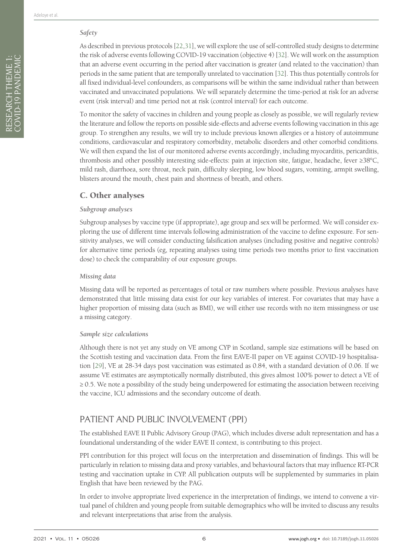### *Safety*

As described in previous protocols [\[22](#page-7-14),[31\]](#page-8-0), we will explore the use of self-controlled study designs to determine the risk of adverse events following COVID-19 vaccination (objective 4) [\[32](#page-8-1)]. We will work on the assumption that an adverse event occurring in the period after vaccination is greater (and related to the vaccination) than periods in the same patient that are temporally unrelated to vaccination [\[32](#page-8-1)]. This thus potentially controls for all fixed individual-level confounders, as comparisons will be within the same individual rather than between vaccinated and unvaccinated populations. We will separately determine the time-period at risk for an adverse event (risk interval) and time period not at risk (control interval) for each outcome.

To monitor the safety of vaccines in children and young people as closely as possible, we will regularly review the literature and follow the reports on possible side-effects and adverse events following vaccination in this age group. To strengthen any results, we will try to include previous known allergies or a history of autoimmune conditions, cardiovascular and respiratory comorbidity, metabolic disorders and other comorbid conditions. We will then expand the list of our monitored adverse events accordingly, including myocarditis, pericarditis, thrombosis and other possibly interesting side-effects: pain at injection site, fatigue, headache, fever ≥38°C, mild rash, diarrhoea, sore throat, neck pain, difficulty sleeping, low blood sugars, vomiting, armpit swelling, blisters around the mouth, chest pain and shortness of breath, and others.

# C. Other analyses

#### *Subgroup analyses*

Subgroup analyses by vaccine type (if appropriate), age group and sex will be performed. We will consider exploring the use of different time intervals following administration of the vaccine to define exposure. For sensitivity analyses, we will consider conducting falsification analyses (including positive and negative controls) for alternative time periods (eg, repeating analyses using time periods two months prior to first vaccination dose) to check the comparability of our exposure groups.

#### *Missing data*

Missing data will be reported as percentages of total or raw numbers where possible. Previous analyses have demonstrated that little missing data exist for our key variables of interest. For covariates that may have a higher proportion of missing data (such as BMI), we will either use records with no item missingness or use a missing category.

#### *Sample size calculations*

Although there is not yet any study on VE among CYP in Scotland, sample size estimations will be based on the Scottish testing and vaccination data. From the first EAVE-II paper on VE against COVID-19 hospitalisation [\[29](#page-7-15)], VE at 28-34 days post vaccination was estimated as 0.84, with a standard deviation of 0.06. If we assume VE estimates are asymptotically normally distributed, this gives almost 100% power to detect a VE of ≥ 0.5. We note a possibility of the study being underpowered for estimating the association between receiving the vaccine, ICU admissions and the secondary outcome of death.

# PATIENT AND PUBLIC INVOLVEMENT (PPI)

The established EAVE II Public Advisory Group (PAG), which includes diverse adult representation and has a foundational understanding of the wider EAVE II context, is contributing to this project.

PPI contribution for this project will focus on the interpretation and dissemination of findings. This will be particularly in relation to missing data and proxy variables, and behavioural factors that may influence RT-PCR testing and vaccination uptake in CYP. All publication outputs will be supplemented by summaries in plain English that have been reviewed by the PAG.

In order to involve appropriate lived experience in the interpretation of findings, we intend to convene a virtual panel of children and young people from suitable demographics who will be invited to discuss any results and relevant interpretations that arise from the analysis.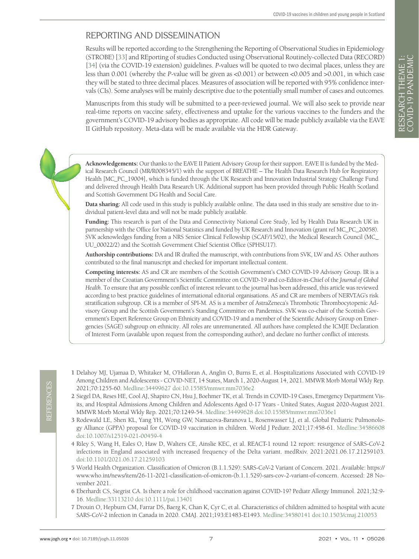# REPORTING AND DISSEMINATION

Results will be reported according to the Strengthening the Reporting of Observational Studies in Epidemiology (STROBE) [[33\]](#page-8-2) and REporting of studies Conducted using Observational Routinely-collected Data (RECORD) [\[34](#page-8-3)] (via the COVID-19 extension) guidelines. *P*-values will be quoted to two decimal places, unless they are less than 0.001 (whereby the *P*-value will be given as <0.001) or between <0.005 and >0.001, in which case they will be stated to three decimal places. Measures of association will be reported with 95% confidence intervals (CIs). Some analyses will be mainly descriptive due to the potentially small number of cases and outcomes.

Manuscripts from this study will be submitted to a peer-reviewed journal. We will also seek to provide near real-time reports on vaccine safety, effectiveness and uptake for the various vaccines to the funders and the government's COVID-19 advisory bodies as appropriate. All code will be made publicly available via the EAVE II GitHub repository. Meta-data will be made available via the HDR Gateway.

**Acknowledgements:** Our thanks to the EAVE II Patient Advisory Group for their support. EAVE II is funded by the Medical Research Council (MR/R008345/1) with the support of BREATHE – The Health Data Research Hub for Respiratory Health [MC\_PC\_19004], which is funded through the UK Research and Innovation Industrial Strategy Challenge Fund and delivered through Health Data Research UK. Additional support has been provided through Public Health Scotland and Scottish Government DG Health and Social Care.

**Data sharing:** All code used in this study is publicly available online. The data used in this study are sensitive due to individual patient-level data and will not be made publicly available.

**Funding:** This research is part of the Data and Connectivity National Core Study, led by Health Data Research UK in partnership with the Office for National Statistics and funded by UK Research and Innovation (grant ref MC\_PC\_20058). SVK acknowledges funding from a NRS Senior Clinical Fellowship (SCAF/15/02), the Medical Research Council (MC\_ UU\_00022/2) and the Scottish Government Chief Scientist Office (SPHSU17).

**Authorship contributions:** DA and IR drafted the manuscript, with contributions from SVK, LW and AS. Other authors contributed to the final manuscript and checked for important intellectual content.

**Competing interests:** AS and CR are members of the Scottish Government's CMO COVID-19 Advisory Group. IR is a member of the Croatian Government's Scientific Committee on COVID-19 and co-Editor-in-Chief of the *Journal of Global Health*. To ensure that any possible conflict of interest relevant to the journal has been addressed, this article was reviewed according to best practice guidelines of international editorial organisations. AS and CR are members of NERVTAG's risk stratification subgroup. CR is a member of SPI-M. AS is a member of AstraZeneca's Thrombotic Thrombocytopenic Advisory Group and the Scottish Government's Standing Committee on Pandemics. SVK was co-chair of the Scottish Government's Expert Reference Group on Ethnicity and COVID-19 and a member of the Scientific Advisory Group on Emergencies (SAGE) subgroup on ethnicity. All roles are unremunerated. All authors have completed the ICMJE Declaration of Interest Form (available upon request from the corresponding author), and declare no further conflict of interests.

- <span id="page-6-0"></span>1 Delahoy MJ, Ujamaa D, Whitaker M, O'Halloran A, Anglin O, Burns E, et al. Hospitalizations Associated with COVID-19 Among Children and Adolescents - COVID-NET, 14 States, March 1, 2020-August 14, 2021. MMWR Morb Mortal Wkly Rep. 2021;70:1255-60. [Medline:34499627](https://pubmed.ncbi.nlm.nih.gov/34499627) [doi:10.15585/mmwr.mm7036e2](https://doi.org/10.15585/mmwr.mm7036e2)
- <span id="page-6-1"></span>2 Siegel DA, Reses HE, Cool AJ, Shapiro CN, Hsu J, Boehmer TK, et al. Trends in COVID-19 Cases, Emergency Department Visits, and Hospital Admissions Among Children and Adolescents Aged 0-17 Years - United States, August 2020-August 2021. MMWR Morb Mortal Wkly Rep. 2021;70:1249-54. [Medline:34499628](https://pubmed.ncbi.nlm.nih.gov/34499628) [doi:10.15585/mmwr.mm7036e1](https://doi.org/10.15585/mmwr.mm7036e1)
- <span id="page-6-2"></span>3 Rodewald LE, Shen KL, Yang YH, Wong GW, Namazova-Baranova L, Rosenwasser LJ, et al. Global Pediatric Pulmonology Alliance (GPPA) proposal for COVID-19 vaccination in children. World J Pediatr. 2021;17:458-61. [Medline:34586608](https://pubmed.ncbi.nlm.nih.gov/34586608) [doi:10.1007/s12519-021-00459-4](https://doi.org/10.1007/s12519-021-00459-4)
- <span id="page-6-3"></span>4 Riley S, Wang H, Eales O, Haw D, Walters CE, Ainslie KEC, et al. REACT-1 round 12 report: resurgence of SARS-CoV-2 infections in England associated with increased frequency of the Delta variant. medRxiv. 2021:2021.06.17.21259103. [doi:10.1101/2021.06.17.21259103](https://doi.org/10.1101/2021.06.17.21259103)
- <span id="page-6-4"></span>5 World Health Organization. Classification of Omicron (B.1.1.529): SARS-CoV-2 Variant of Concern. 2021. Available: [https://](https://www.who.int/news/item/26-11-2021-classification-of-omicron-(b.1.1.529)-sars-cov-2-variant-of-concern) [www.who.int/news/item/26-11-2021-classification-of-omicron-\(b.1.1.529\)-sars-cov-2-variant-of-concern.](https://www.who.int/news/item/26-11-2021-classification-of-omicron-(b.1.1.529)-sars-cov-2-variant-of-concern) Accessed: 28 November 2021.
- <span id="page-6-5"></span>6 Eberhardt CS, Siegrist CA. Is there a role for childhood vaccination against COVID-19? Pediatr Allergy Immunol. 2021;32:9- 16. [Medline:33113210](https://pubmed.ncbi.nlm.nih.gov/33113210) [doi:10.1111/pai.13401](https://doi.org/10.1111/pai.13401)
- <span id="page-6-6"></span>7 Drouin O, Hepburn CM, Farrar DS, Baerg K, Chan K, Cyr C, et al. Characteristics of children admitted to hospital with acute SARS-CoV-2 infection in Canada in 2020. CMAJ. 2021;193:E1483-E1493. [Medline:34580141](https://pubmed.ncbi.nlm.nih.gov/34580141) [doi:10.1503/cmaj.210053](https://doi.org/10.1503/cmaj.210053)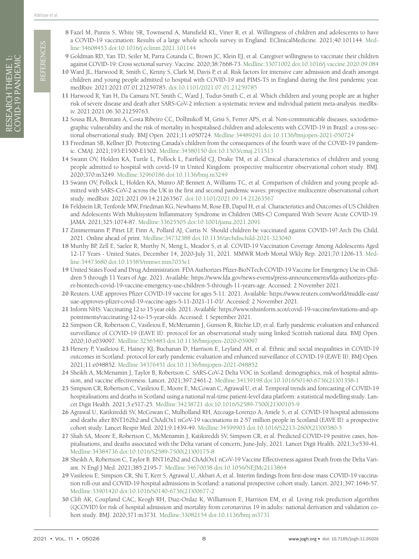REFERENCES REFERENCES

- <span id="page-7-1"></span><span id="page-7-0"></span>9 Goldman RD, Yan TD, Seiler M, Parra Cotanda C, Brown JC, Klein EJ, et al. Caregiver willingness to vaccinate their children against COVID-19: Cross sectional survey. Vaccine. 2020;38:7668-73. [Medline:33071002](https://pubmed.ncbi.nlm.nih.gov/33071002) [doi:10.1016/j.vaccine.2020.09.084](https://doi.org/10.1016/j.vaccine.2020.09.084)
- <span id="page-7-2"></span>10 Ward JL, Harwood R, Smith C, Kenny S, Clark M, Davis P, et al. Risk factors for intensive care admission and death amongst children and young people admitted to hospital with COVID-19 and PIMS-TS in England during the first pandemic year. medRxiv. 2021:2021.07.01.21259785. [doi:10.1101/2021.07.01.21259785](https://doi.org/10.1101/2021.07.01.21259785)
- <span id="page-7-3"></span>11 Harwood R, Yan H, Da Camara NT, Smith C, Ward J, Tudur-Smith C, et al. Which children and young people are at higher risk of severe disease and death after SARS-CoV-2 infection: a systematic review and individual patient meta-analysis. medRxiv. 2021:2021.06.30.21259763.
- <span id="page-7-4"></span>12 Sousa BLA, Brentani A, Costa Ribeiro CC, Dolhnikoff M, Grisi S, Ferrer APS, et al. Non-communicable diseases, sociodemographic vulnerability and the risk of mortality in hospitalised children and adolescents with COVID-19 in Brazil: a cross-sectional observational study. BMJ Open. 2021;11:e050724. [Medline:34489291](https://pubmed.ncbi.nlm.nih.gov/34489291) [doi:10.1136/bmjopen-2021-050724](https://doi.org/10.1136/bmjopen-2021-050724)
- <span id="page-7-5"></span>13 Freedman SB, Kellner JD. Protecting Canada's children from the consequences of the fourth wave of the COVID-19 pandemic. CMAJ. 2021;193:E1500-E1502. [Medline:34580150](https://pubmed.ncbi.nlm.nih.gov/34580150) [doi:10.1503/cmaj.211513](https://doi.org/10.1503/cmaj.211513)
- <span id="page-7-6"></span>14 Swann OV, Holden KA, Turtle L, Pollock L, Fairfield CJ, Drake TM, et al. Clinical characteristics of children and young people admitted to hospital with covid-19 in United Kingdom: prospective multicentre observational cohort study. BMJ. 2020;370:m3249. [Medline:32960186](https://pubmed.ncbi.nlm.nih.gov/32960186) [doi:10.1136/bmj.m3249](https://doi.org/10.1136/bmj.m3249)
- <span id="page-7-7"></span>15 Swann OV, Pollock L, Holden KA, Munro AP, Bennett A, Williams TC, et al. Comparison of children and young people admitted with SARS-CoV-2 across the UK in the first and second pandemic waves: prospective multicentre observational cohort study. medRxiv. 2021:2021.09.14.21263567. [doi:10.1101/2021.09.14.21263567](https://doi.org/10.1101/2021.09.14.21263567)
- <span id="page-7-8"></span>16 Feldstein LR, Tenforde MW, Friedman KG, Newhams M, Rose EB, Dapul H, et al. Characteristics and Outcomes of US Children and Adolescents With Multisystem Inflammatory Syndrome in Children (MIS-C) Compared With Severe Acute COVID-19. JAMA. 2021;325:1074-87. [Medline:33625505](https://pubmed.ncbi.nlm.nih.gov/33625505) [doi:10.1001/jama.2021.2091](https://doi.org/10.1001/jama.2021.2091)
- <span id="page-7-9"></span>17 Zimmermann P, Pittet LF, Finn A, Pollard AJ, Curtis N. Should children be vaccinated against COVID-19? Arch Dis Child. 2021. Online ahead of print. [Medline:34732388](https://pubmed.ncbi.nlm.nih.gov/34732388) [doi:10.1136/archdischild-2021-323040](https://doi.org/10.1136/archdischild-2021-323040)
- <span id="page-7-10"></span>18 Murthy BP, Zell E, Saelee R, Murthy N, Meng L, Meador S, et al. COVID-19 Vaccination Coverage Among Adolescents Aged 12-17 Years - United States, December 14, 2020-July 31, 2021. MMWR Morb Mortal Wkly Rep. 2021;70:1206-13. [Med](https://pubmed.ncbi.nlm.nih.gov/34473680)[line:34473680](https://pubmed.ncbi.nlm.nih.gov/34473680) [doi:10.15585/mmwr.mm7035e1](https://doi.org/10.15585/mmwr.mm7035e1)
- <span id="page-7-11"></span>19 United States Food and Drug Administration. FDA Authorizes Pfizer-BioNTech COVID-19 Vaccine for Emergency Use in Children 5 through 11 Years of Age. 2021. Available: [https://www.fda.gov/news-events/press-announcements/fda-authorizes-pfiz](https://www.fda.gov/news-events/press-announcements/fda-authorizes-pfizer-biontech-covid-19-vaccine-emergency-use-children-5-through-11-years-age)[er-biontech-covid-19-vaccine-emergency-use-children-5-through-11-years-age.](https://www.fda.gov/news-events/press-announcements/fda-authorizes-pfizer-biontech-covid-19-vaccine-emergency-use-children-5-through-11-years-age) Accessed: 2 November 2021.
- <span id="page-7-12"></span>20 Reuters. UAE approves Pfizer COVID-19 vaccine for ages 5-11. 2021. Available: [https://www.reuters.com/world/middle-east/](https://www.reuters.com/world/middle-east/uae-approves-pfizer-covid-19-vaccine-ages-5-11-2021-11-01/) [uae-approves-pfizer-covid-19-vaccine-ages-5-11-2021-11-01/.](https://www.reuters.com/world/middle-east/uae-approves-pfizer-covid-19-vaccine-ages-5-11-2021-11-01/) Accessed: 2 November 2021.
- <span id="page-7-13"></span>21 Inform NHS. Vaccinating 12 to 15 year olds. 2021. Available: [https://www.nhsinform.scot/covid-19-vaccine/invitations-and-ap](https://www.nhsinform.scot/covid-19-vaccine/invitations-and-appointments/vaccinating-12-to-15-year-olds)[pointments/vaccinating-12-to-15-year-olds.](https://www.nhsinform.scot/covid-19-vaccine/invitations-and-appointments/vaccinating-12-to-15-year-olds) Accessed: 1 September 2021.
- <span id="page-7-14"></span>22 Simpson CR, Robertson C, Vasileiou E, McMenamin J, Gunson R, Ritchie LD, et al. Early pandemic evaluation and enhanced surveillance of COVID-19 (EAVE II): protocol for an observational study using linked Scottish national data. BMJ Open. 2020;10:e039097. [Medline:32565483](https://pubmed.ncbi.nlm.nih.gov/32565483) [doi:10.1136/bmjopen-2020-039097](https://doi.org/10.1136/bmjopen-2020-039097)
- 23 Henery P, Vasileiou E, Hainey KJ, Buchanan D, Harrison E, Leyland AH, et al. Ethnic and social inequalities in COVID-19 outcomes in Scotland: protocol for early pandemic evaluation and enhanced surveillance of COVID-19 (EAVE II). BMJ Open. 2021;11:e048852. [Medline:34376451](https://pubmed.ncbi.nlm.nih.gov/34376451) [doi:10.1136/bmjopen-2021-048852](https://doi.org/10.1136/bmjopen-2021-048852)
- <span id="page-7-17"></span>24 Sheikh A, McMenamin J, Taylor B, Robertson C. SARS-CoV-2 Delta VOC in Scotland: demographics, risk of hospital admission, and vaccine effectiveness. Lancet. 2021;397:2461-2. [Medline:34139198](https://pubmed.ncbi.nlm.nih.gov/34139198) [doi:10.1016/S0140-6736\(21\)01358-1](https://doi.org/10.1016/S0140-6736(21)01358-1)
- 25 Simpson CR, Robertson C, Vasileiou E, Moore E, McCowan C, Agrawal U, et al. Temporal trends and forecasting of COVID-19 hospitalisations and deaths in Scotland using a national real-time patient-level data platform: a statistical modelling study. Lancet Digit Health. 2021;3:e517-25. [Medline:34238721](https://pubmed.ncbi.nlm.nih.gov/34238721) [doi:10.1016/S2589-7500\(21\)00105-9](https://doi.org/10.1016/S2589-7500(21)00105-9)
- 26 Agrawal U, Katikireddi SV, McCowan C, Mulholland RH, Azcoaga-Lorenzo A, Amele S, et al. COVID-19 hospital admissions and deaths after BNT162b2 and ChAdOx1 nCoV-19 vaccinations in 2·57 million people in Scotland (EAVE II): a prospective cohort study. Lancet Respir Med. 2021;9:1439-49. [Medline:34599903](https://pubmed.ncbi.nlm.nih.gov/34599903) [doi:10.1016/S2213-2600\(21\)00380-5](https://doi.org/10.1016/S2213-2600(21)00380-5)
- 27 Shah SA, Moore E, Robertson C, McMenamin J, Katikireddi SV, Simpson CR, et al. Predicted COVID-19 positive cases, hospitalisations, and deaths associated with the Delta variant of concern, June-July, 2021. Lancet Digit Health. 2021;3:e539-41. [Medline:34384736](https://pubmed.ncbi.nlm.nih.gov/34384736) [doi:10.1016/S2589-7500\(21\)00175-8](https://doi.org/10.1016/S2589-7500(21)00175-8)
- 28 Sheikh A, Robertson C, Taylor B. BNT162b2 and ChAdOx1 nCoV-19 Vaccine Effectiveness against Death from the Delta Variant. N Engl J Med. 2021;385:2195-7. [Medline:34670038](https://pubmed.ncbi.nlm.nih.gov/34670038) [doi:10.1056/NEJMc2113864](https://doi.org/10.1056/NEJMc2113864)
- <span id="page-7-15"></span>29 Vasileiou E, Simpson CR, Shi T, Kerr S, Agrawal U, Akbari A, et al. Interim findings from first-dose mass COVID-19 vaccination roll-out and COVID-19 hospital admissions in Scotland: a national prospective cohort study. Lancet. 2021;397:1646-57. [Medline:33901420](https://pubmed.ncbi.nlm.nih.gov/33901420) [doi:10.1016/S0140-6736\(21\)00677-2](https://doi.org/10.1016/S0140-6736(21)00677-2)
- <span id="page-7-16"></span>30 Clift AK, Coupland CAC, Keogh RH, Diaz-Ordaz K, Williamson E, Harrison EM, et al. Living risk prediction algorithm (QCOVID) for risk of hospital admission and mortality from coronavirus 19 in adults: national derivation and validation cohort study. BMJ. 2020;371:m3731. [Medline:33082154](https://pubmed.ncbi.nlm.nih.gov/33082154) [doi:10.1136/bmj.m3731](https://doi.org/10.1136/bmj.m3731)